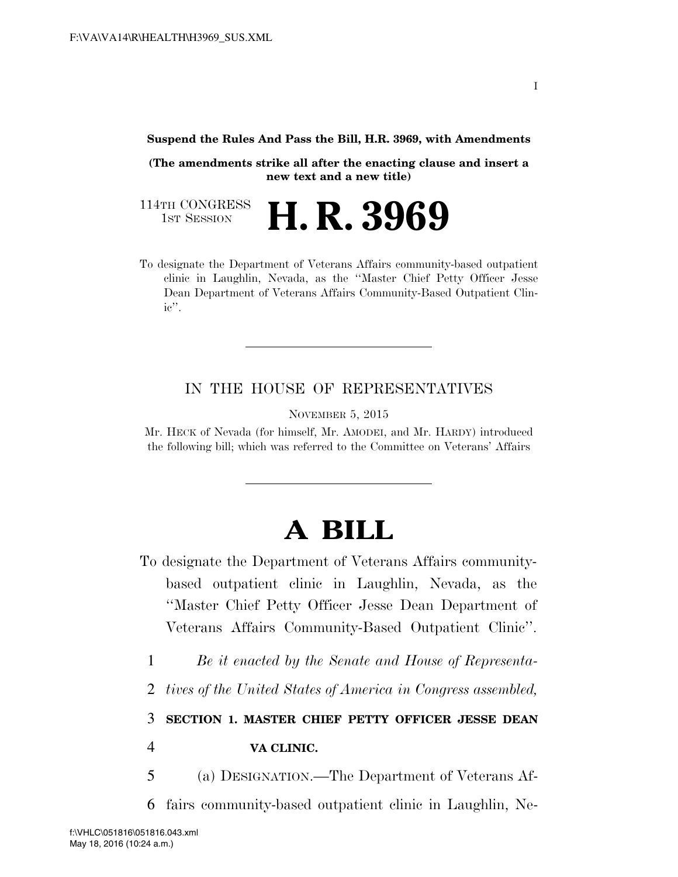## **Suspend the Rules And Pass the Bill, H.R. 3969, with Amendments**

**(The amendments strike all after the enacting clause and insert a new text and a new title)** 

114TH CONGRESS<br>1st Session H. R. 3969

To designate the Department of Veterans Affairs community-based outpatient clinic in Laughlin, Nevada, as the ''Master Chief Petty Officer Jesse Dean Department of Veterans Affairs Community-Based Outpatient Clinic''.

## IN THE HOUSE OF REPRESENTATIVES

NOVEMBER 5, 2015

Mr. HECK of Nevada (for himself, Mr. AMODEI, and Mr. HARDY) introduced the following bill; which was referred to the Committee on Veterans' Affairs

## **A BILL**

- To designate the Department of Veterans Affairs communitybased outpatient clinic in Laughlin, Nevada, as the ''Master Chief Petty Officer Jesse Dean Department of Veterans Affairs Community-Based Outpatient Clinic''.
	- 1 *Be it enacted by the Senate and House of Representa-*
	- 2 *tives of the United States of America in Congress assembled,*

## 3 **SECTION 1. MASTER CHIEF PETTY OFFICER JESSE DEAN**

4 **VA CLINIC.** 

- 5 (a) DESIGNATION.—The Department of Veterans Af-
- 6 fairs community-based outpatient clinic in Laughlin, Ne-